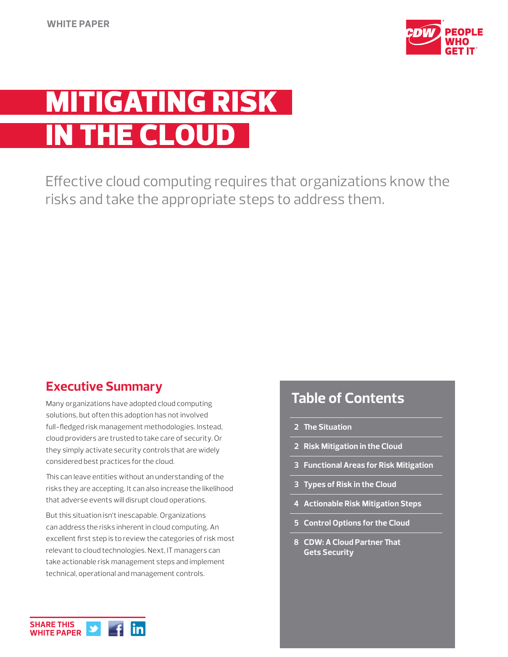

# TIGATING RISK **THE CLOUD**

Effective cloud computing requires that organizations know the risks and take the appropriate steps to address them.

# **Executive Summary**

Many organizations have adopted cloud computing solutions, but often this adoption has not involved full-fledged risk management methodologies. Instead, cloud providers are trusted to take care of security. Or they simply activate security controls that are widely considered best practices for the cloud.

This can leave entities without an understanding of the risks they are accepting. It can also increase the likelihood that adverse events will disrupt cloud operations.

But this situation isn't inescapable. Organizations can address the risks inherent in cloud computing. An excellent first step is to review the categories of risk most relevant to cloud technologies. Next, IT managers can take actionable risk management steps and implement technical, operational and management controls.

# **Table of Contents**

- **2 The Situation**
- **2 Risk Mitigation in the Cloud**
- **3 Functional Areas for Risk Mitigation**
- **3 Types of Risk in the Cloud**
- **4 Actionable Risk Mitigation Steps**
- **5 Control Options for the Cloud**
- **8 CDW: A Cloud Partner That Gets Security**

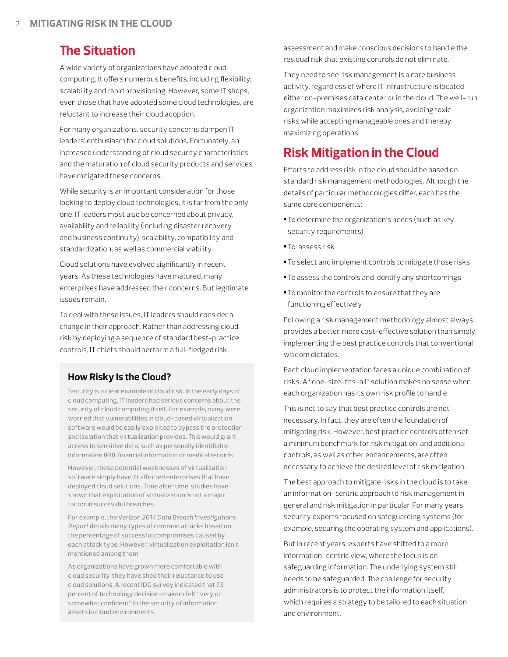## **The Situation**

A wide variety of organizations have adopted cloud computing. It offers numerous benefits, including flexibility, scalability and rapid provisioning. However, some IT shops, even those that have adopted some cloud technologies, are reluctant to increase their cloud adoption.

For many organizations, security concerns dampen IT leaders' enthusiasm for cloud solutions. Fortunately, an increased understanding of cloud security characteristics and the maturation of cloud security products and services have mitigated these concerns.

While security is an important consideration for those looking to deploy cloud technologies, it is far from the only one. IT leaders most also be concerned about privacy, availability and reliability (including disaster recovery and business continuity), scalability, compatibility and standardization, as well as commercial viability.

Cloud solutions have evolved significantly in recent years. As these technologies have matured, many enterprises have addressed their concerns. But legitimate issues remain.

To deal with these issues, IT leaders should consider a change in their approach. Rather than addressing cloud risk by deploying a sequence of standard best-practice controls, IT chiefs should perform a full-fledged risk

## **How Risky Is the Cloud?**

Security is a clear example of cloud risk. In the early days of cloud computing, IT leaders had serious concerns about the security of cloud computing itself. For example, many were worried that vulnerabilities in cloud-based virtualization software would be easily exploited to bypass the protection and isolation that virtualization provides. This would grant access to sensitive data, such as personally identifiable information (PII), financial information or medical records.

However, these potential weaknesses of virtualization software simply haven't affected enterprises that have deployed cloud solutions. Time after time, studies have shown that exploitation of virtualization is not a major factor in successful breaches.

For example, the Verizon *2014 Data Breach Investigations Report* details many types of common attacks based on the percentage of successful compromises caused by each attack type. However, virtualization exploitation isn't mentioned among them.

As organizations have grown more comfortable with cloud security, they have shed their reluctance to use cloud solutions. A recent IDG survey indicated that 73 percent of technology decision-makers felt "very or somewhat confident" in the security of information assets in cloud environments.

assessment and make conscious decisions to handle the residual risk that existing controls do not eliminate.

They need to see risk management is a core business activity, regardless of where IT infrastructure is located – either on-premises data center or in the cloud. The well-run organization maximizes risk analysis, avoiding toxic risks while accepting manageable ones and thereby maximizing operations.

# **Risk Mitigation in the Cloud**

Efforts to address risk in the cloud should be based on standard risk management methodologies. Although the details of particular methodologies differ, each has the same core components:

- **•**To determine the organization's needs (such as key security requirements)
- **•**To assess risk
- **•**To select and implement controls to mitigate those risks
- **•**To assess the controls and identify any shortcomings
- **•**To monitor the controls to ensure that they are functioning effectively

Following a risk management methodology almost always provides a better, more cost-effective solution than simply implementing the best practice controls that conventional wisdom dictates.

Each cloud implementation faces a unique combination of risks. A "one-size-fits-all" solution makes no sense when each organization has its own risk profile to handle.

This is not to say that best practice controls are not necessary. In fact, they are often the foundation of mitigating risk. However, best practice controls often set a minimum benchmark for risk mitigation, and additional controls, as well as other enhancements, are often necessary to achieve the desired level of risk mitigation.

The best approach to mitigate risks in the cloud is to take an information-centric approach to risk management in general and risk mitigation in particular. For many years, security experts focused on safeguarding systems (for example, securing the operating system and applications).

But in recent years, experts have shifted to a more information-centric view, where the focus is on safeguarding information. The underlying system still needs to be safeguarded. The challenge for security administrators is to protect the information itself, which requires a strategy to be tailored to each situation and environment.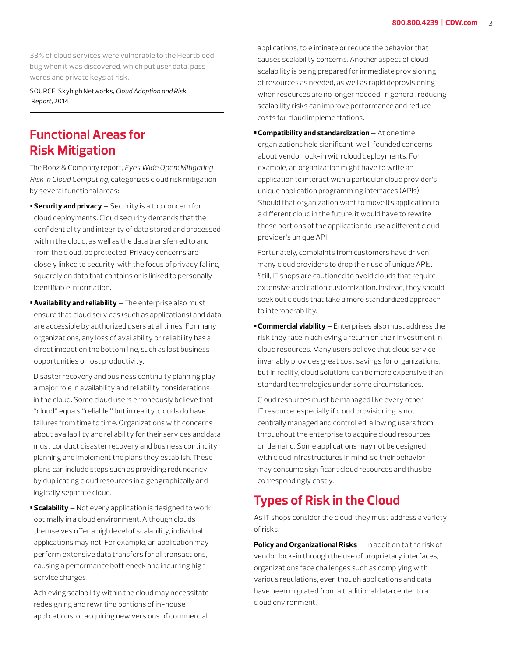33% of cloud services were vulnerable to the Heartbleed bug when it was discovered, which put user data, passwords and private keys at risk.

SOURCE: Skyhigh Networks, *Cloud Adoption and Risk Report,* 2014

## **Functional Areas for Risk Mitigation**

The Booz & Company report, *Eyes Wide Open: Mitigating Risk in Cloud Computing,* categorizes cloud risk mitigation by several functional areas:

- **•Security and privacy** Security is a top concern for cloud deployments. Cloud security demands that the confidentiality and integrity of data stored and processed within the cloud, as well as the data transferred to and from the cloud, be protected. Privacy concerns are closely linked to security, with the focus of privacy falling squarely on data that contains or is linked to personally identifiable information.
- **•Availability and reliability**  The enterprise also must ensure that cloud services (such as applications) and data are accessible by authorized users at all times. For many organizations, any loss of availability or reliability has a direct impact on the bottom line, such as lost business opportunities or lost productivity.

Disaster recovery and business continuity planning play a major role in availability and reliability considerations in the cloud. Some cloud users erroneously believe that "cloud" equals "reliable," but in reality, clouds do have failures from time to time. Organizations with concerns about availability and reliability for their services and data must conduct disaster recovery and business continuity planning and implement the plans they establish. These plans can include steps such as providing redundancy by duplicating cloud resources in a geographically and logically separate cloud.

**•Scalability** — Not every application is designed to work optimally in a cloud environment. Although clouds themselves offer a high level of scalability, individual applications may not. For example, an application may perform extensive data transfers for all transactions, causing a performance bottleneck and incurring high service charges.

Achieving scalability within the cloud may necessitate redesigning and rewriting portions of in-house applications, or acquiring new versions of commercial

applications, to eliminate or reduce the behavior that causes scalability concerns. Another aspect of cloud scalability is being prepared for immediate provisioning of resources as needed, as well as rapid deprovisioning when resources are no longer needed. In general, reducing scalability risks can improve performance and reduce costs for cloud implementations.

**•Compatibility and standardization** — At one time, organizations held significant, well-founded concerns about vendor lock-in with cloud deployments. For example, an organization might have to write an application to interact with a particular cloud provider's unique application programming interfaces (APIs). Should that organization want to move its application to a different cloud in the future, it would have to rewrite those portions of the application to use a different cloud provider's unique API.

Fortunately, complaints from customers have driven many cloud providers to drop their use of unique APIs. Still, IT shops are cautioned to avoid clouds that require extensive application customization. Instead, they should seek out clouds that take a more standardized approach to interoperability.

**•Commercial viability** — Enterprises also must address the risk they face in achieving a return on their investment in cloud resources. Many users believe that cloud service invariably provides great cost savings for organizations, but in reality, cloud solutions can be more expensive than standard technologies under some circumstances.

Cloud resources must be managed like every other IT resource, especially if cloud provisioning is not centrally managed and controlled, allowing users from throughout the enterprise to acquire cloud resources on demand. Some applications may not be designed with cloud infrastructures in mind, so their behavior may consume significant cloud resources and thus be correspondingly costly.

# **Types of Risk in the Cloud**

As IT shops consider the cloud, they must address a variety of risks.

**Policy and Organizational Risks** — In addition to the risk of vendor lock-in through the use of proprietary interfaces, organizations face challenges such as complying with various regulations, even though applications and data have been migrated from a traditional data center to a cloud environment.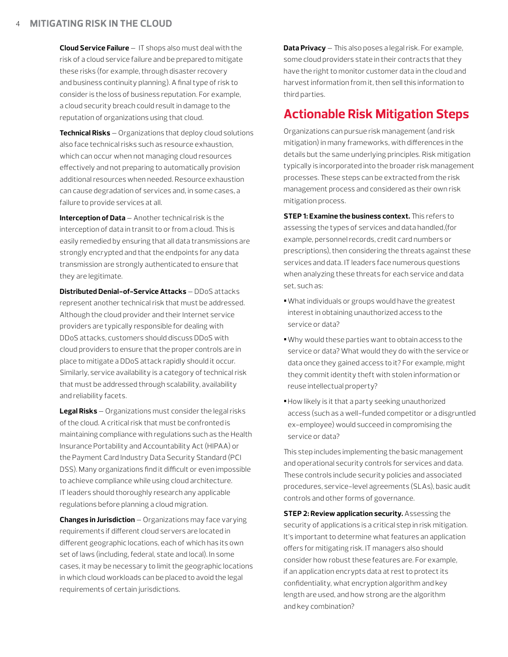**Cloud Service Failure** — IT shops also must deal with the risk of a cloud service failure and be prepared to mitigate these risks (for example, through disaster recovery and business continuity planning). A final type of risk to consider is the loss of business reputation. For example, a cloud security breach could result in damage to the reputation of organizations using that cloud.

**Technical Risks** — Organizations that deploy cloud solutions also face technical risks such as resource exhaustion, which can occur when not managing cloud resources effectively and not preparing to automatically provision additional resources when needed. Resource exhaustion can cause degradation of services and, in some cases, a failure to provide services at all.

**Interception of Data** — Another technical risk is the interception of data in transit to or from a cloud. This is easily remedied by ensuring that all data transmissions are strongly encrypted and that the endpoints for any data transmission are strongly authenticated to ensure that they are legitimate.

**Distributed Denial-of-Service Attacks** — DDoS attacks represent another technical risk that must be addressed. Although the cloud provider and their Internet service providers are typically responsible for dealing with DDoS attacks, customers should discuss DDoS with cloud providers to ensure that the proper controls are in place to mitigate a DDoS attack rapidly should it occur. Similarly, service availability is a category of technical risk that must be addressed through scalability, availability and reliability facets.

**Legal Risks** — Organizations must consider the legal risks of the cloud. A critical risk that must be confronted is maintaining compliance with regulations such as the Health Insurance Portability and Accountability Act (HIPAA) or the Payment Card Industry Data Security Standard (PCI DSS). Many organizations find it difficult or even impossible to achieve compliance while using cloud architecture. IT leaders should thoroughly research any applicable regulations before planning a cloud migration.

**Changes in Jurisdiction** — Organizations may face varying requirements if different cloud servers are located in different geographic locations, each of which has its own set of laws (including, federal, state and local). In some cases, it may be necessary to limit the geographic locations in which cloud workloads can be placed to avoid the legal requirements of certain jurisdictions.

**Data Privacy** — This also poses a legal risk. For example, some cloud providers state in their contracts that they have the right to monitor customer data in the cloud and harvest information from it, then sell this information to third parties.

## **Actionable Risk Mitigation Steps**

Organizations can pursue risk management (and risk mitigation) in many frameworks, with differences in the details but the same underlying principles. Risk mitigation typically is incorporated into the broader risk management processes. These steps can be extracted from the risk management process and considered as their own risk mitigation process.

**STEP 1: Examine the business context.** This refers to assessing the types of services and data handled,(for example, personnel records, credit card numbers or prescriptions), then considering the threats against these services and data. IT leaders face numerous questions when analyzing these threats for each service and data set, such as:

- **•**What individuals or groups would have the greatest interest in obtaining unauthorized access to the service or data?
- **•**Why would these parties want to obtain access to the service or data? What would they do with the service or data once they gained access to it? For example, might they commit identity theft with stolen information or reuse intellectual property?
- **•**How likely is it that a party seeking unauthorized access (such as a well-funded competitor or a disgruntled ex-employee) would succeed in compromising the service or data?

This step includes implementing the basic management and operational security controls for services and data. These controls include security policies and associated procedures, service-level agreements (SLAs), basic audit controls and other forms of governance.

**STEP 2: Review application security.** Assessing the security of applications is a critical step in risk mitigation. It's important to determine what features an application offers for mitigating risk. IT managers also should consider how robust these features are. For example, if an application encrypts data at rest to protect its confidentiality, what encryption algorithm and key length are used, and how strong are the algorithm and key combination?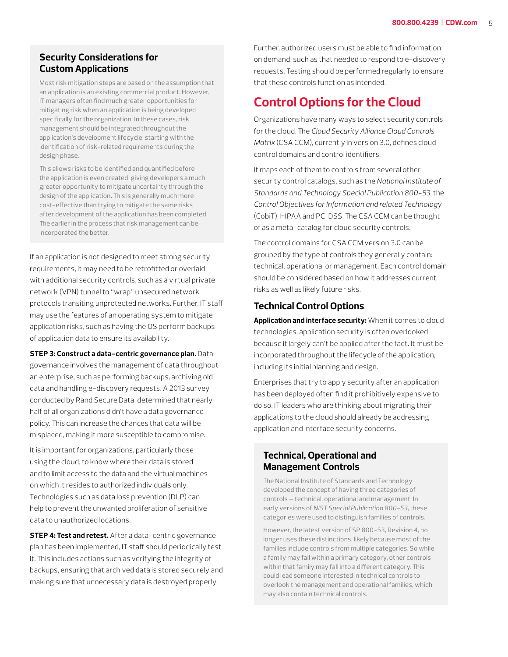## **Security Considerations for Custom Applications**

Most risk mitigation steps are based on the assumption that an application is an existing commercial product. However, IT managers often find much greater opportunities for mitigating risk when an application is being developed specifically for the organization. In these cases, risk management should be integrated throughout the application's development lifecycle, starting with the identification of risk-related requirements during the design phase.

This allows risks to be identified and quantified before the application is even created, giving developers a much greater opportunity to mitigate uncertainty through the design of the application. This is generally much more cost-effective than trying to mitigate the same risks after development of the application has been completed. The earlier in the process that risk management can be incorporated the better.

If an application is not designed to meet strong security requirements, it may need to be retrofitted or overlaid with additional security controls, such as a virtual private network (VPN) tunnel to "wrap" unsecured network protocols transiting unprotected networks. Further, IT staff may use the features of an operating system to mitigate application risks, such as having the OS perform backups of application data to ensure its availability.

**STEP 3: Construct a data-centric governance plan.** Data governance involves the management of data throughout an enterprise, such as performing backups, archiving old data and handling e-discovery requests. A 2013 survey, conducted by Rand Secure Data, determined that nearly half of all organizations didn't have a data governance policy. This can increase the chances that data will be misplaced, making it more susceptible to compromise.

It is important for organizations, particularly those using the cloud, to know where their data is stored and to limit access to the data and the virtual machines on which it resides to authorized individuals only. Technologies such as data loss prevention (DLP) can help to prevent the unwanted proliferation of sensitive data to unauthorized locations.

**STEP 4: Test and retest.** After a data-centric governance plan has been implemented, IT staff should periodically test it. This includes actions such as verifying the integrity of backups, ensuring that archived data is stored securely and making sure that unnecessary data is destroyed properly.

Further, authorized users must be able to find information on demand, such as that needed to respond to e-discovery requests. Testing should be performed regularly to ensure that these controls function as intended.

## **Control Options for the Cloud**

Organizations have many ways to select security controls for the cloud. The *Cloud Security Alliance Cloud Controls Matrix* (CSA CCM), currently in version 3.0, defines cloud control domains and control identifiers.

It maps each of them to controls from several other security control catalogs, such as the *National Institute of Standards and Technology Special Publication 800-53,* the *Control Objectives for Information and related Technology*  (CobiT), HIPAA and PCI DSS. The CSA CCM can be thought of as a meta-catalog for cloud security controls.

The control domains for CSA CCM version 3.0 can be grouped by the type of controls they generally contain: technical, operational or management. Each control domain should be considered based on how it addresses current risks as well as likely future risks.

## **Technical Control Options**

**Application and interface security:** When it comes to cloud technologies, application security is often overlooked because it largely can't be applied after the fact. It must be incorporated throughout the lifecycle of the application, including its initial planning and design.

Enterprises that try to apply security after an application has been deployed often find it prohibitively expensive to do so. IT leaders who are thinking about migrating their applications to the cloud should already be addressing application and interface security concerns.

## **Technical, Operational and Management Controls**

The National Institute of Standards and Technology developed the concept of having three categories of controls — technical, operational and management. In early versions of *NIST Special Publication 800-53,* these categories were used to distinguish families of controls.

However, the latest version of SP 800-53, Revision 4, no longer uses these distinctions, likely because most of the families include controls from multiple categories. So while a family may fall within a primary category, other controls within that family may fall into a different category. This could lead someone interested in technical controls to overlook the management and operational families, which may also contain technical controls.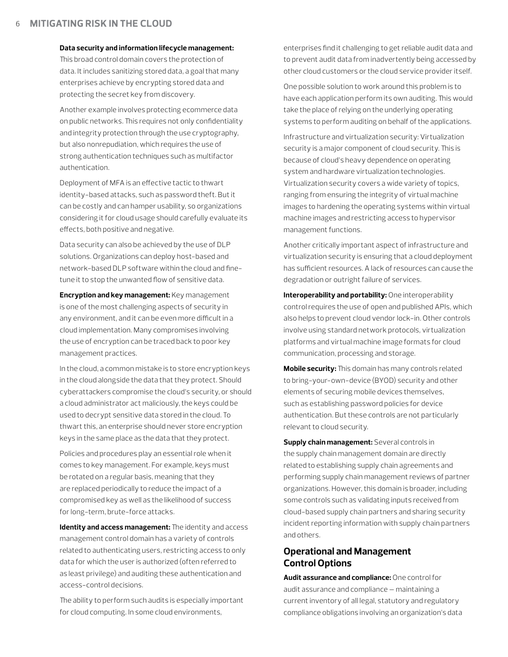**Data security and information lifecycle management:** 

This broad control domain covers the protection of data. It includes sanitizing stored data, a goal that many enterprises achieve by encrypting stored data and protecting the secret key from discovery.

Another example involves protecting ecommerce data on public networks. This requires not only confidentiality and integrity protection through the use cryptography, but also nonrepudiation, which requires the use of strong authentication techniques such as multifactor authentication.

Deployment of MFA is an effective tactic to thwart identity-based attacks, such as password theft. But it can be costly and can hamper usability, so organizations considering it for cloud usage should carefully evaluate its effects, both positive and negative.

Data security can also be achieved by the use of DLP solutions. Organizations can deploy host-based and network-based DLP software within the cloud and finetune it to stop the unwanted flow of sensitive data.

**Encryption and key management:** Key management is one of the most challenging aspects of security in any environment, and it can be even more difficult in a cloud implementation. Many compromises involving the use of encryption can be traced back to poor key management practices.

In the cloud, a common mistake is to store encryption keys in the cloud alongside the data that they protect. Should cyberattackers compromise the cloud's security, or should a cloud administrator act maliciously, the keys could be used to decrypt sensitive data stored in the cloud. To thwart this, an enterprise should never store encryption keys in the same place as the data that they protect.

Policies and procedures play an essential role when it comes to key management. For example, keys must be rotated on a regular basis, meaning that they are replaced periodically to reduce the impact of a compromised key as well as the likelihood of success for long-term, brute-force attacks.

**Identity and access management:** The identity and access management control domain has a variety of controls related to authenticating users, restricting access to only data for which the user is authorized (often referred to as least privilege) and auditing these authentication and access-control decisions.

The ability to perform such audits is especially important for cloud computing. In some cloud environments,

enterprises find it challenging to get reliable audit data and to prevent audit data from inadvertently being accessed by other cloud customers or the cloud service provider itself.

One possible solution to work around this problem is to have each application perform its own auditing. This would take the place of relying on the underlying operating systems to perform auditing on behalf of the applications.

Infrastructure and virtualization security: Virtualization security is a major component of cloud security. This is because of cloud's heavy dependence on operating system and hardware virtualization technologies. Virtualization security covers a wide variety of topics, ranging from ensuring the integrity of virtual machine images to hardening the operating systems within virtual machine images and restricting access to hypervisor management functions.

Another critically important aspect of infrastructure and virtualization security is ensuring that a cloud deployment has sufficient resources. A lack of resources can cause the degradation or outright failure of services.

**Interoperability and portability:** One interoperability control requires the use of open and published APIs, which also helps to prevent cloud vendor lock-in. Other controls involve using standard network protocols, virtualization platforms and virtual machine image formats for cloud communication, processing and storage.

**Mobile security:** This domain has many controls related to bring-your-own-device (BYOD) security and other elements of securing mobile devices themselves, such as establishing password policies for device authentication. But these controls are not particularly relevant to cloud security.

**Supply chain management:** Several controls in the supply chain management domain are directly related to establishing supply chain agreements and performing supply chain management reviews of partner organizations. However, this domain is broader, including some controls such as validating inputs received from cloud-based supply chain partners and sharing security incident reporting information with supply chain partners and others.

## **Operational and Management Control Options**

**Audit assurance and compliance:** One control for audit assurance and compliance — maintaining a current inventory of all legal, statutory and regulatory compliance obligations involving an organization's data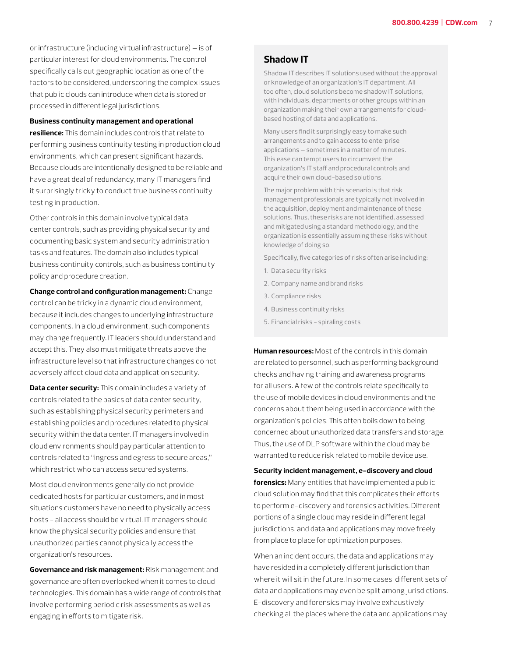or infrastructure (including virtual infrastructure) — is of particular interest for cloud environments. The control specifically calls out geographic location as one of the factors to be considered, underscoring the complex issues that public clouds can introduce when data is stored or processed in different legal jurisdictions.

**Business continuity management and operational** 

**resilience:** This domain includes controls that relate to performing business continuity testing in production cloud environments, which can present significant hazards. Because clouds are intentionally designed to be reliable and have a great deal of redundancy, many IT managers find it surprisingly tricky to conduct true business continuity testing in production.

Other controls in this domain involve typical data center controls, such as providing physical security and documenting basic system and security administration tasks and features. The domain also includes typical business continuity controls, such as business continuity policy and procedure creation.

**Change control and configuration management:** Change control can be tricky in a dynamic cloud environment, because it includes changes to underlying infrastructure components. In a cloud environment, such components may change frequently. IT leaders should understand and accept this. They also must mitigate threats above the infrastructure level so that infrastructure changes do not adversely affect cloud data and application security.

**Data center security:** This domain includes a variety of controls related to the basics of data center security, such as establishing physical security perimeters and establishing policies and procedures related to physical security within the data center. IT managers involved in cloud environments should pay particular attention to controls related to "ingress and egress to secure areas," which restrict who can access secured systems.

Most cloud environments generally do not provide dedicated hosts for particular customers, and in most situations customers have no need to physically access hosts - all access should be virtual. IT managers should know the physical security policies and ensure that unauthorized parties cannot physically access the organization's resources.

**Governance and risk management:** Risk management and governance are often overlooked when it comes to cloud technologies. This domain has a wide range of controls that involve performing periodic risk assessments as well as engaging in efforts to mitigate risk.

#### **Shadow IT**

Shadow IT describes IT solutions used without the approval or knowledge of an organization's IT department. All too often, cloud solutions become shadow IT solutions, with individuals, departments or other groups within an organization making their own arrangements for cloudbased hosting of data and applications.

Many users find it surprisingly easy to make such arrangements and to gain access to enterprise applications — sometimes in a matter of minutes. This ease can tempt users to circumvent the organization's IT staff and procedural controls and acquire their own cloud-based solutions.

The major problem with this scenario is that risk management professionals are typically not involved in the acquisition, deployment and maintenance of these solutions. Thus, these risks are not identified, assessed and mitigated using a standard methodology, and the organization is essentially assuming these risks without knowledge of doing so.

Specifically, five categories of risks often arise including:

- 1. Data security risks
- 2. Company name and brand risks
- 3. Compliance risks
- 4. Business continuity risks
- 5. Financial risks spiraling costs

**Human resources:** Most of the controls in this domain are related to personnel, such as performing background checks and having training and awareness programs for all users. A few of the controls relate specifically to the use of mobile devices in cloud environments and the concerns about them being used in accordance with the organization's policies. This often boils down to being concerned about unauthorized data transfers and storage. Thus, the use of DLP software within the cloud may be warranted to reduce risk related to mobile device use.

**Security incident management, e-discovery and cloud forensics:** Many entities that have implemented a public cloud solution may find that this complicates their efforts to perform e-discovery and forensics activities. Different portions of a single cloud may reside in different legal jurisdictions, and data and applications may move freely from place to place for optimization purposes.

When an incident occurs, the data and applications may have resided in a completely different jurisdiction than where it will sit in the future. In some cases, different sets of data and applications may even be split among jurisdictions. E-discovery and forensics may involve exhaustively checking all the places where the data and applications may